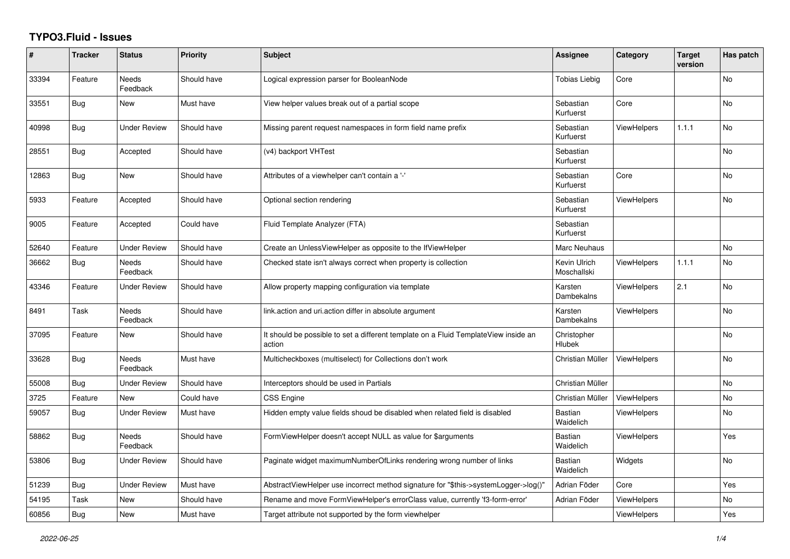## **TYPO3.Fluid - Issues**

| #     | <b>Tracker</b> | <b>Status</b>            | Priority    | <b>Subject</b>                                                                                | Assignee                    | Category           | <b>Target</b><br>version | Has patch |
|-------|----------------|--------------------------|-------------|-----------------------------------------------------------------------------------------------|-----------------------------|--------------------|--------------------------|-----------|
| 33394 | Feature        | Needs<br>Feedback        | Should have | Logical expression parser for BooleanNode                                                     | <b>Tobias Liebig</b>        | Core               |                          | No        |
| 33551 | Bug            | <b>New</b>               | Must have   | View helper values break out of a partial scope                                               | Sebastian<br>Kurfuerst      | Core               |                          | <b>No</b> |
| 40998 | <b>Bug</b>     | <b>Under Review</b>      | Should have | Missing parent request namespaces in form field name prefix                                   | Sebastian<br>Kurfuerst      | <b>ViewHelpers</b> | 1.1.1                    | <b>No</b> |
| 28551 | Bug            | Accepted                 | Should have | (v4) backport VHTest                                                                          | Sebastian<br>Kurfuerst      |                    |                          | No        |
| 12863 | Bug            | <b>New</b>               | Should have | Attributes of a viewhelper can't contain a '-'                                                | Sebastian<br>Kurfuerst      | Core               |                          | <b>No</b> |
| 5933  | Feature        | Accepted                 | Should have | Optional section rendering                                                                    | Sebastian<br>Kurfuerst      | <b>ViewHelpers</b> |                          | <b>No</b> |
| 9005  | Feature        | Accepted                 | Could have  | Fluid Template Analyzer (FTA)                                                                 | Sebastian<br>Kurfuerst      |                    |                          |           |
| 52640 | Feature        | <b>Under Review</b>      | Should have | Create an UnlessViewHelper as opposite to the IfViewHelper                                    | Marc Neuhaus                |                    |                          | No        |
| 36662 | Bug            | <b>Needs</b><br>Feedback | Should have | Checked state isn't always correct when property is collection                                | Kevin Ulrich<br>Moschallski | <b>ViewHelpers</b> | 1.1.1                    | <b>No</b> |
| 43346 | Feature        | Under Review             | Should have | Allow property mapping configuration via template                                             | Karsten<br>Dambekalns       | <b>ViewHelpers</b> | 2.1                      | No        |
| 8491  | Task           | Needs<br>Feedback        | Should have | link action and uri action differ in absolute argument                                        | Karsten<br>Dambekalns       | <b>ViewHelpers</b> |                          | No        |
| 37095 | Feature        | <b>New</b>               | Should have | It should be possible to set a different template on a Fluid TemplateView inside an<br>action | Christopher<br>Hlubek       |                    |                          | <b>No</b> |
| 33628 | <b>Bug</b>     | Needs<br>Feedback        | Must have   | Multicheckboxes (multiselect) for Collections don't work                                      | Christian Müller            | <b>ViewHelpers</b> |                          | <b>No</b> |
| 55008 | Bug            | <b>Under Review</b>      | Should have | Interceptors should be used in Partials                                                       | Christian Müller            |                    |                          | No        |
| 3725  | Feature        | <b>New</b>               | Could have  | <b>CSS Engine</b>                                                                             | Christian Müller            | <b>ViewHelpers</b> |                          | <b>No</b> |
| 59057 | <b>Bug</b>     | <b>Under Review</b>      | Must have   | Hidden empty value fields shoud be disabled when related field is disabled                    | <b>Bastian</b><br>Waidelich | <b>ViewHelpers</b> |                          | No        |
| 58862 | Bug            | Needs<br>Feedback        | Should have | FormViewHelper doesn't accept NULL as value for \$arguments                                   | <b>Bastian</b><br>Waidelich | <b>ViewHelpers</b> |                          | Yes       |
| 53806 | Bug            | <b>Under Review</b>      | Should have | Paginate widget maximumNumberOfLinks rendering wrong number of links                          | <b>Bastian</b><br>Waidelich | Widgets            |                          | <b>No</b> |
| 51239 | Bug            | <b>Under Review</b>      | Must have   | AbstractViewHelper use incorrect method signature for "\$this->systemLogger->log()"           | Adrian Föder                | Core               |                          | Yes       |
| 54195 | Task           | New                      | Should have | Rename and move FormViewHelper's errorClass value, currently 'f3-form-error'                  | Adrian Föder                | <b>ViewHelpers</b> |                          | No        |
| 60856 | Bug            | <b>New</b>               | Must have   | Target attribute not supported by the form viewhelper                                         |                             | <b>ViewHelpers</b> |                          | Yes       |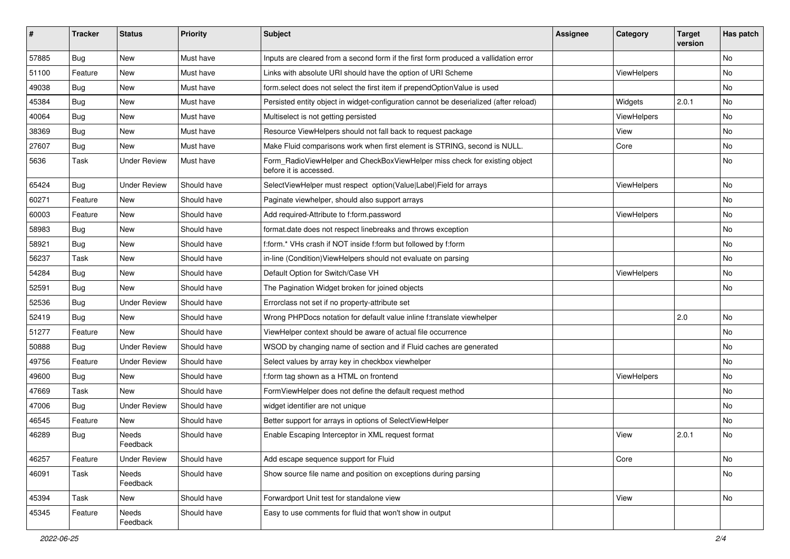| #     | <b>Tracker</b> | <b>Status</b>       | <b>Priority</b> | <b>Subject</b>                                                                                       | <b>Assignee</b> | Category    | <b>Target</b><br>version | Has patch |
|-------|----------------|---------------------|-----------------|------------------------------------------------------------------------------------------------------|-----------------|-------------|--------------------------|-----------|
| 57885 | Bug            | New                 | Must have       | Inputs are cleared from a second form if the first form produced a vallidation error                 |                 |             |                          | <b>No</b> |
| 51100 | Feature        | New                 | Must have       | Links with absolute URI should have the option of URI Scheme                                         |                 | ViewHelpers |                          | No        |
| 49038 | Bug            | New                 | Must have       | form select does not select the first item if prependOptionValue is used                             |                 |             |                          | No        |
| 45384 | Bug            | New                 | Must have       | Persisted entity object in widget-configuration cannot be deserialized (after reload)                |                 | Widgets     | 2.0.1                    | <b>No</b> |
| 40064 | Bug            | New                 | Must have       | Multiselect is not getting persisted                                                                 |                 | ViewHelpers |                          | No        |
| 38369 | Bug            | <b>New</b>          | Must have       | Resource ViewHelpers should not fall back to request package                                         |                 | View        |                          | No        |
| 27607 | Bug            | New                 | Must have       | Make Fluid comparisons work when first element is STRING, second is NULL.                            |                 | Core        |                          | No        |
| 5636  | Task           | <b>Under Review</b> | Must have       | Form_RadioViewHelper and CheckBoxViewHelper miss check for existing object<br>before it is accessed. |                 |             |                          | No        |
| 65424 | Bug            | <b>Under Review</b> | Should have     | SelectViewHelper must respect option(Value Label)Field for arrays                                    |                 | ViewHelpers |                          | No        |
| 60271 | Feature        | New                 | Should have     | Paginate viewhelper, should also support arrays                                                      |                 |             |                          | No        |
| 60003 | Feature        | <b>New</b>          | Should have     | Add required-Attribute to f:form.password                                                            |                 | ViewHelpers |                          | No        |
| 58983 | Bug            | New                 | Should have     | format.date does not respect linebreaks and throws exception                                         |                 |             |                          | No        |
| 58921 | Bug            | <b>New</b>          | Should have     | f:form.* VHs crash if NOT inside f:form but followed by f:form                                       |                 |             |                          | <b>No</b> |
| 56237 | Task           | New                 | Should have     | in-line (Condition) View Helpers should not evaluate on parsing                                      |                 |             |                          | No        |
| 54284 | Bug            | New                 | Should have     | Default Option for Switch/Case VH                                                                    |                 | ViewHelpers |                          | No        |
| 52591 | Bug            | <b>New</b>          | Should have     | The Pagination Widget broken for joined objects                                                      |                 |             |                          | <b>No</b> |
| 52536 | Bug            | <b>Under Review</b> | Should have     | Errorclass not set if no property-attribute set                                                      |                 |             |                          |           |
| 52419 | Bug            | New                 | Should have     | Wrong PHPDocs notation for default value inline f:translate viewhelper                               |                 |             | 2.0                      | <b>No</b> |
| 51277 | Feature        | <b>New</b>          | Should have     | ViewHelper context should be aware of actual file occurrence                                         |                 |             |                          | No        |
| 50888 | Bug            | <b>Under Review</b> | Should have     | WSOD by changing name of section and if Fluid caches are generated                                   |                 |             |                          | No        |
| 49756 | Feature        | <b>Under Review</b> | Should have     | Select values by array key in checkbox viewhelper                                                    |                 |             |                          | No        |
| 49600 | Bug            | New                 | Should have     | f:form tag shown as a HTML on frontend                                                               |                 | ViewHelpers |                          | No        |
| 47669 | Task           | New                 | Should have     | FormViewHelper does not define the default request method                                            |                 |             |                          | No        |
| 47006 | Bug            | <b>Under Review</b> | Should have     | widget identifier are not unique                                                                     |                 |             |                          | No        |
| 46545 | Feature        | New                 | Should have     | Better support for arrays in options of SelectViewHelper                                             |                 |             |                          | No        |
| 46289 | Bug            | Needs<br>Feedback   | Should have     | Enable Escaping Interceptor in XML request format                                                    |                 | View        | 2.0.1                    | No        |
| 46257 | Feature        | <b>Under Review</b> | Should have     | Add escape sequence support for Fluid                                                                |                 | Core        |                          | No        |
| 46091 | Task           | Needs<br>Feedback   | Should have     | Show source file name and position on exceptions during parsing                                      |                 |             |                          | No        |
| 45394 | Task           | New                 | Should have     | Forwardport Unit test for standalone view                                                            |                 | View        |                          | No        |
| 45345 | Feature        | Needs<br>Feedback   | Should have     | Easy to use comments for fluid that won't show in output                                             |                 |             |                          |           |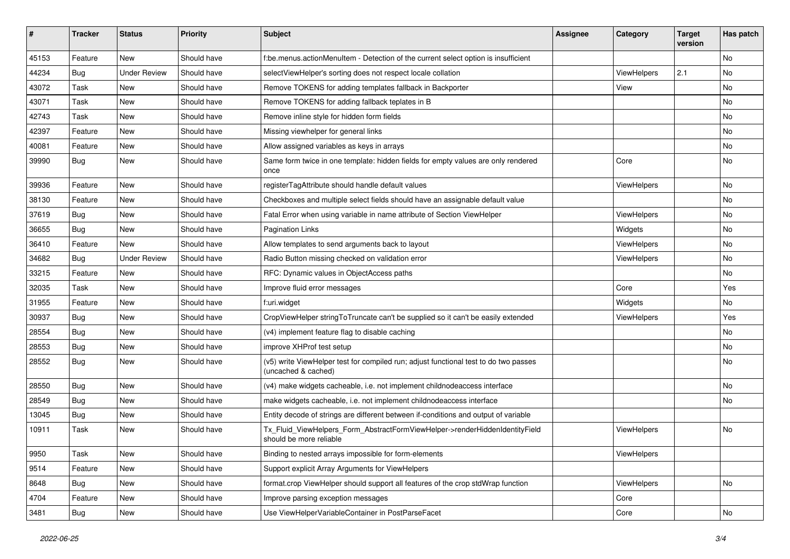| #     | <b>Tracker</b> | <b>Status</b>       | <b>Priority</b> | Subject                                                                                                     | <b>Assignee</b> | Category    | <b>Target</b><br>version | Has patch |
|-------|----------------|---------------------|-----------------|-------------------------------------------------------------------------------------------------------------|-----------------|-------------|--------------------------|-----------|
| 45153 | Feature        | New                 | Should have     | f:be.menus.actionMenuItem - Detection of the current select option is insufficient                          |                 |             |                          | <b>No</b> |
| 44234 | Bug            | <b>Under Review</b> | Should have     | selectViewHelper's sorting does not respect locale collation                                                |                 | ViewHelpers | 2.1                      | No        |
| 43072 | Task           | New                 | Should have     | Remove TOKENS for adding templates fallback in Backporter                                                   |                 | View        |                          | No        |
| 43071 | Task           | New                 | Should have     | Remove TOKENS for adding fallback teplates in B                                                             |                 |             |                          | No        |
| 42743 | Task           | New                 | Should have     | Remove inline style for hidden form fields                                                                  |                 |             |                          | No        |
| 42397 | Feature        | New                 | Should have     | Missing viewhelper for general links                                                                        |                 |             |                          | No        |
| 40081 | Feature        | New                 | Should have     | Allow assigned variables as keys in arrays                                                                  |                 |             |                          | No        |
| 39990 | Bug            | New                 | Should have     | Same form twice in one template: hidden fields for empty values are only rendered<br>once                   |                 | Core        |                          | No        |
| 39936 | Feature        | New                 | Should have     | registerTagAttribute should handle default values                                                           |                 | ViewHelpers |                          | No        |
| 38130 | Feature        | New                 | Should have     | Checkboxes and multiple select fields should have an assignable default value                               |                 |             |                          | No        |
| 37619 | Bug            | New                 | Should have     | Fatal Error when using variable in name attribute of Section ViewHelper                                     |                 | ViewHelpers |                          | No        |
| 36655 | Bug            | New                 | Should have     | <b>Pagination Links</b>                                                                                     |                 | Widgets     |                          | No        |
| 36410 | Feature        | New                 | Should have     | Allow templates to send arguments back to layout                                                            |                 | ViewHelpers |                          | No        |
| 34682 | Bug            | <b>Under Review</b> | Should have     | Radio Button missing checked on validation error                                                            |                 | ViewHelpers |                          | No        |
| 33215 | Feature        | New                 | Should have     | RFC: Dynamic values in ObjectAccess paths                                                                   |                 |             |                          | No        |
| 32035 | Task           | New                 | Should have     | Improve fluid error messages                                                                                |                 | Core        |                          | Yes       |
| 31955 | Feature        | New                 | Should have     | f:uri.widget                                                                                                |                 | Widgets     |                          | No        |
| 30937 | Bug            | <b>New</b>          | Should have     | CropViewHelper stringToTruncate can't be supplied so it can't be easily extended                            |                 | ViewHelpers |                          | Yes       |
| 28554 | Bug            | New                 | Should have     | (v4) implement feature flag to disable caching                                                              |                 |             |                          | No        |
| 28553 | Bug            | New                 | Should have     | improve XHProf test setup                                                                                   |                 |             |                          | No        |
| 28552 | Bug            | New                 | Should have     | (v5) write ViewHelper test for compiled run; adjust functional test to do two passes<br>(uncached & cached) |                 |             |                          | No        |
| 28550 | Bug            | New                 | Should have     | (v4) make widgets cacheable, i.e. not implement childnodeaccess interface                                   |                 |             |                          | No        |
| 28549 | Bug            | New                 | Should have     | make widgets cacheable, i.e. not implement childnodeaccess interface                                        |                 |             |                          | No        |
| 13045 | Bug            | New                 | Should have     | Entity decode of strings are different between if-conditions and output of variable                         |                 |             |                          |           |
| 10911 | Task           | New                 | Should have     | Tx Fluid ViewHelpers Form AbstractFormViewHelper->renderHiddenIdentityField<br>should be more reliable      |                 | ViewHelpers |                          | No        |
| 9950  | Task           | New                 | Should have     | Binding to nested arrays impossible for form-elements                                                       |                 | ViewHelpers |                          |           |
| 9514  | Feature        | New                 | Should have     | Support explicit Array Arguments for ViewHelpers                                                            |                 |             |                          |           |
| 8648  | Bug            | New                 | Should have     | format.crop ViewHelper should support all features of the crop stdWrap function                             |                 | ViewHelpers |                          | No        |
| 4704  | Feature        | New                 | Should have     | Improve parsing exception messages                                                                          |                 | Core        |                          |           |
| 3481  | <b>Bug</b>     | New                 | Should have     | Use ViewHelperVariableContainer in PostParseFacet                                                           |                 | Core        |                          | No        |